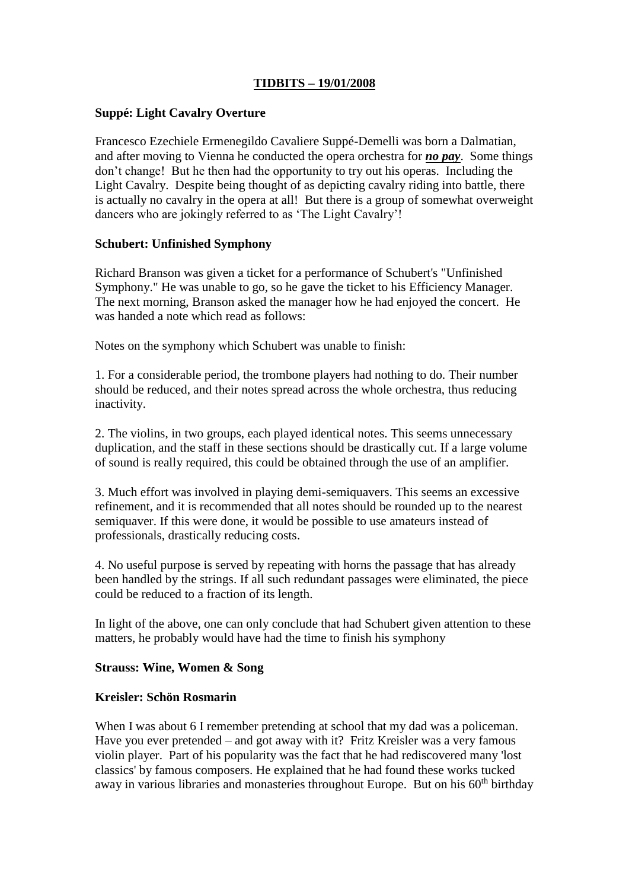# **TIDBITS – 19/01/2008**

### **Suppé: Light Cavalry Overture**

Francesco Ezechiele Ermenegildo Cavaliere Suppé-Demelli was born a Dalmatian, and after moving to Vienna he conducted the opera orchestra for *no pay*. Some things don't change! But he then had the opportunity to try out his operas. Including the Light Cavalry. Despite being thought of as depicting cavalry riding into battle, there is actually no cavalry in the opera at all! But there is a group of somewhat overweight dancers who are jokingly referred to as 'The Light Cavalry'!

### **Schubert: Unfinished Symphony**

Richard Branson was given a ticket for a performance of Schubert's "Unfinished Symphony." He was unable to go, so he gave the ticket to his Efficiency Manager. The next morning, Branson asked the manager how he had enjoyed the concert. He was handed a note which read as follows:

Notes on the symphony which Schubert was unable to finish:

1. For a considerable period, the trombone players had nothing to do. Their number should be reduced, and their notes spread across the whole orchestra, thus reducing inactivity.

2. The violins, in two groups, each played identical notes. This seems unnecessary duplication, and the staff in these sections should be drastically cut. If a large volume of sound is really required, this could be obtained through the use of an amplifier.

3. Much effort was involved in playing demi-semiquavers. This seems an excessive refinement, and it is recommended that all notes should be rounded up to the nearest semiquaver. If this were done, it would be possible to use amateurs instead of professionals, drastically reducing costs.

4. No useful purpose is served by repeating with horns the passage that has already been handled by the strings. If all such redundant passages were eliminated, the piece could be reduced to a fraction of its length.

In light of the above, one can only conclude that had Schubert given attention to these matters, he probably would have had the time to finish his symphony

#### **Strauss: Wine, Women & Song**

#### **Kreisler: Schön Rosmarin**

When I was about 6 I remember pretending at school that my dad was a policeman. Have you ever pretended – and got away with it? Fritz Kreisler was a very famous violin player. Part of his popularity was the fact that he had rediscovered many 'lost classics' by famous composers. He explained that he had found these works tucked away in various libraries and monasteries throughout Europe. But on his 60<sup>th</sup> birthday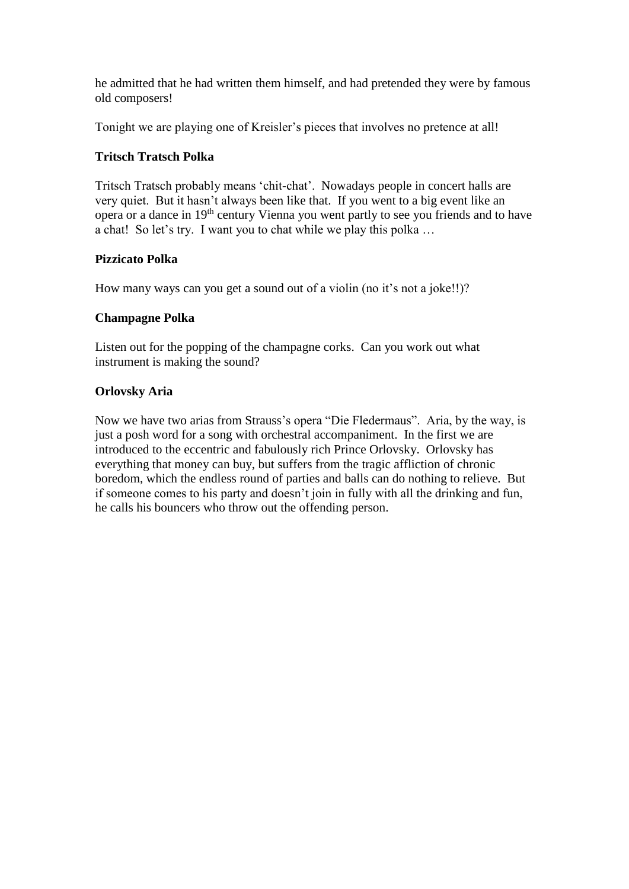he admitted that he had written them himself, and had pretended they were by famous old composers!

Tonight we are playing one of Kreisler's pieces that involves no pretence at all!

# **Tritsch Tratsch Polka**

Tritsch Tratsch probably means 'chit-chat'. Nowadays people in concert halls are very quiet. But it hasn't always been like that. If you went to a big event like an opera or a dance in 19th century Vienna you went partly to see you friends and to have a chat! So let's try. I want you to chat while we play this polka …

# **Pizzicato Polka**

How many ways can you get a sound out of a violin (no it's not a joke!!)?

# **Champagne Polka**

Listen out for the popping of the champagne corks. Can you work out what instrument is making the sound?

# **Orlovsky Aria**

Now we have two arias from Strauss's opera "Die Fledermaus". Aria, by the way, is just a posh word for a song with orchestral accompaniment. In the first we are introduced to the eccentric and fabulously rich Prince Orlovsky. Orlovsky has everything that money can buy, but suffers from the tragic affliction of chronic boredom, which the endless round of parties and balls can do nothing to relieve. But if someone comes to his party and doesn't join in fully with all the drinking and fun, he calls his bouncers who throw out the offending person.